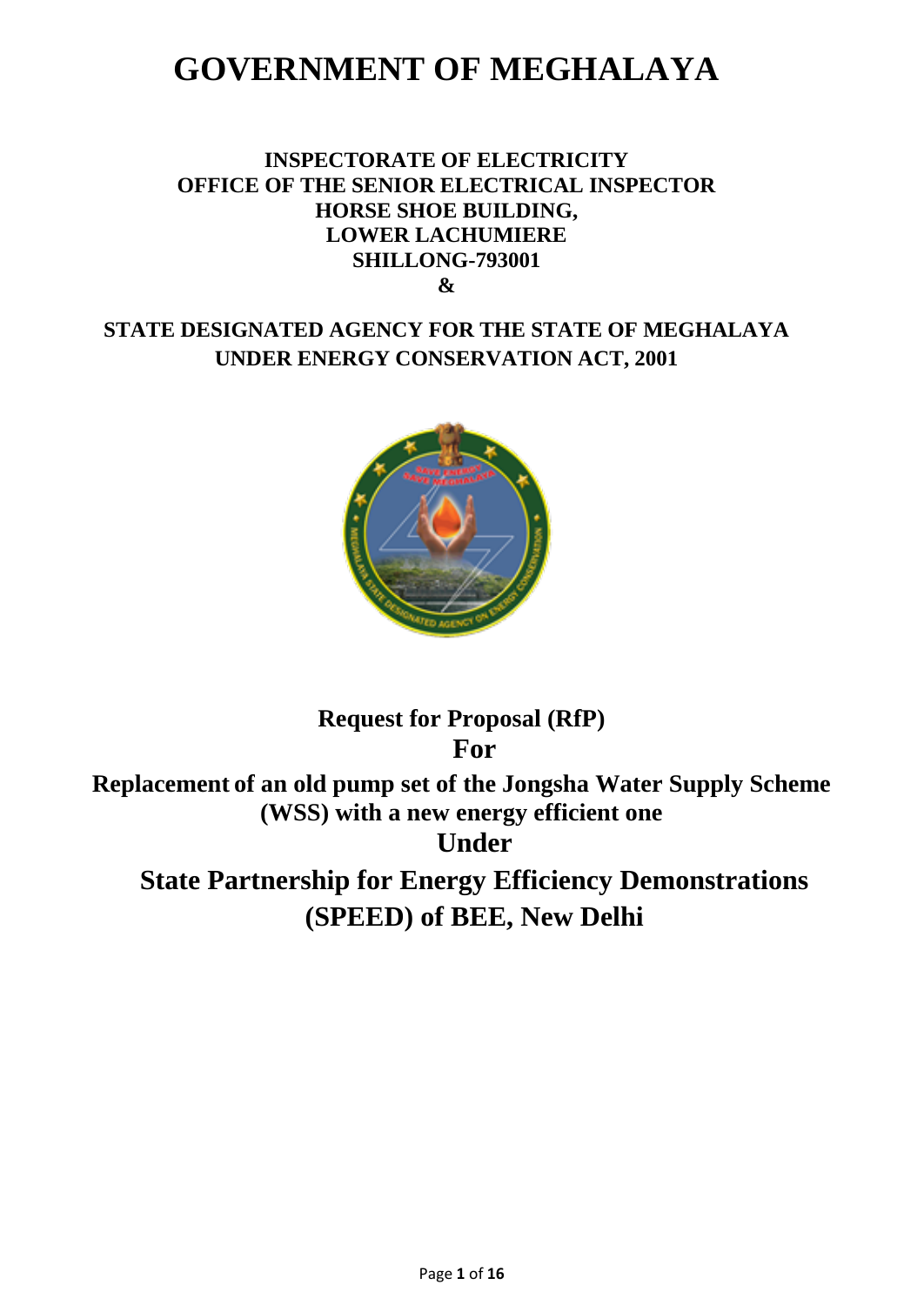# **GOVERNMENT OF MEGHALAYA**

# **INSPECTORATE OF ELECTRICITY OFFICE OF THE SENIOR ELECTRICAL INSPECTOR HORSE SHOE BUILDING, LOWER LACHUMIERE SHILLONG-793001 &**

# **STATE DESIGNATED AGENCY FOR THE STATE OF MEGHALAYA UNDER ENERGY CONSERVATION ACT, 2001**



# **Request for Proposal (RfP) For Replacement of an old pump set of the Jongsha Water Supply Scheme (WSS) with a new energy efficient one Under State Partnership for Energy Efficiency Demonstrations (SPEED) of BEE, New Delhi**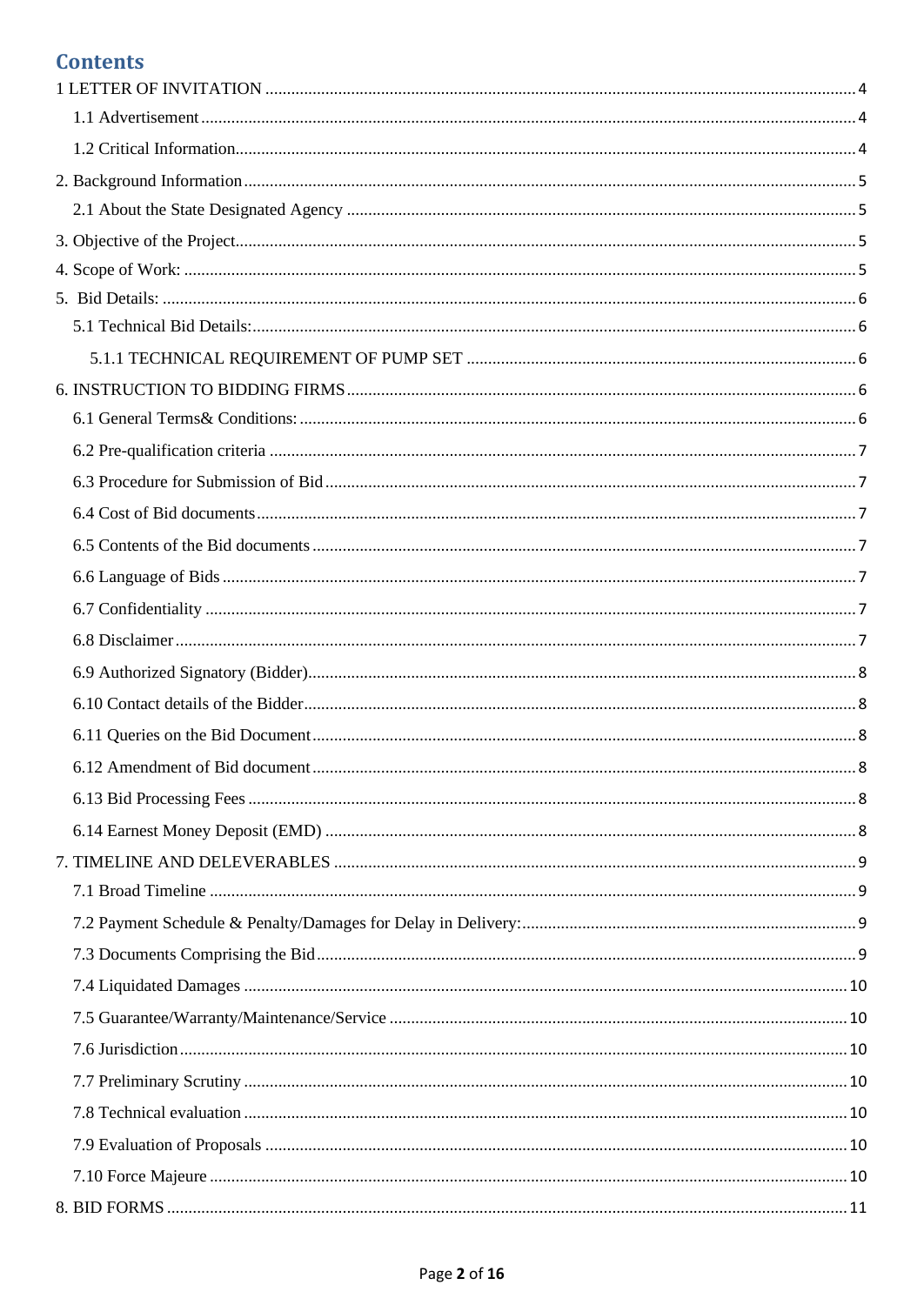# **Contents**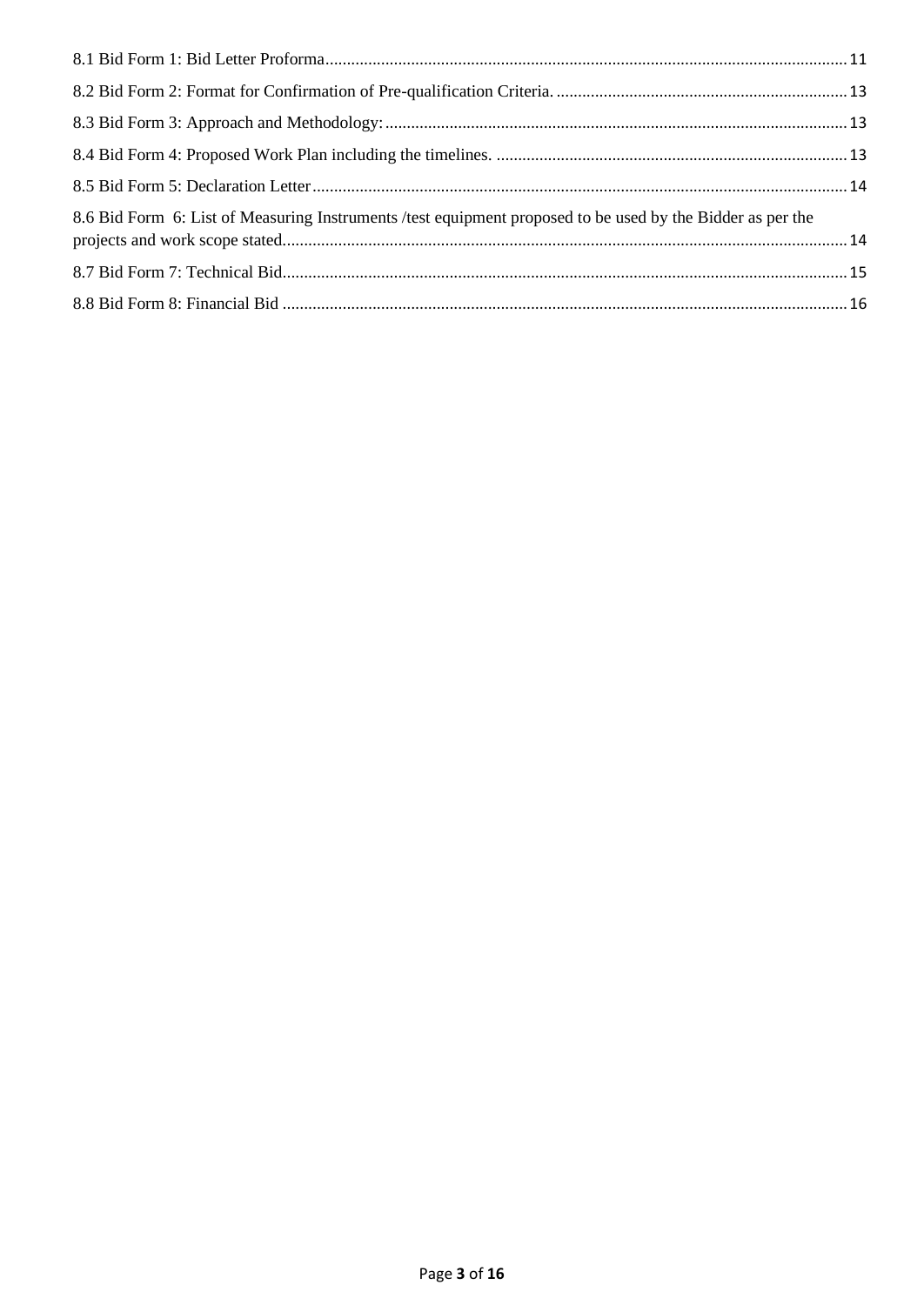| 8.6 Bid Form 6: List of Measuring Instruments /test equipment proposed to be used by the Bidder as per the |  |
|------------------------------------------------------------------------------------------------------------|--|
|                                                                                                            |  |
|                                                                                                            |  |
|                                                                                                            |  |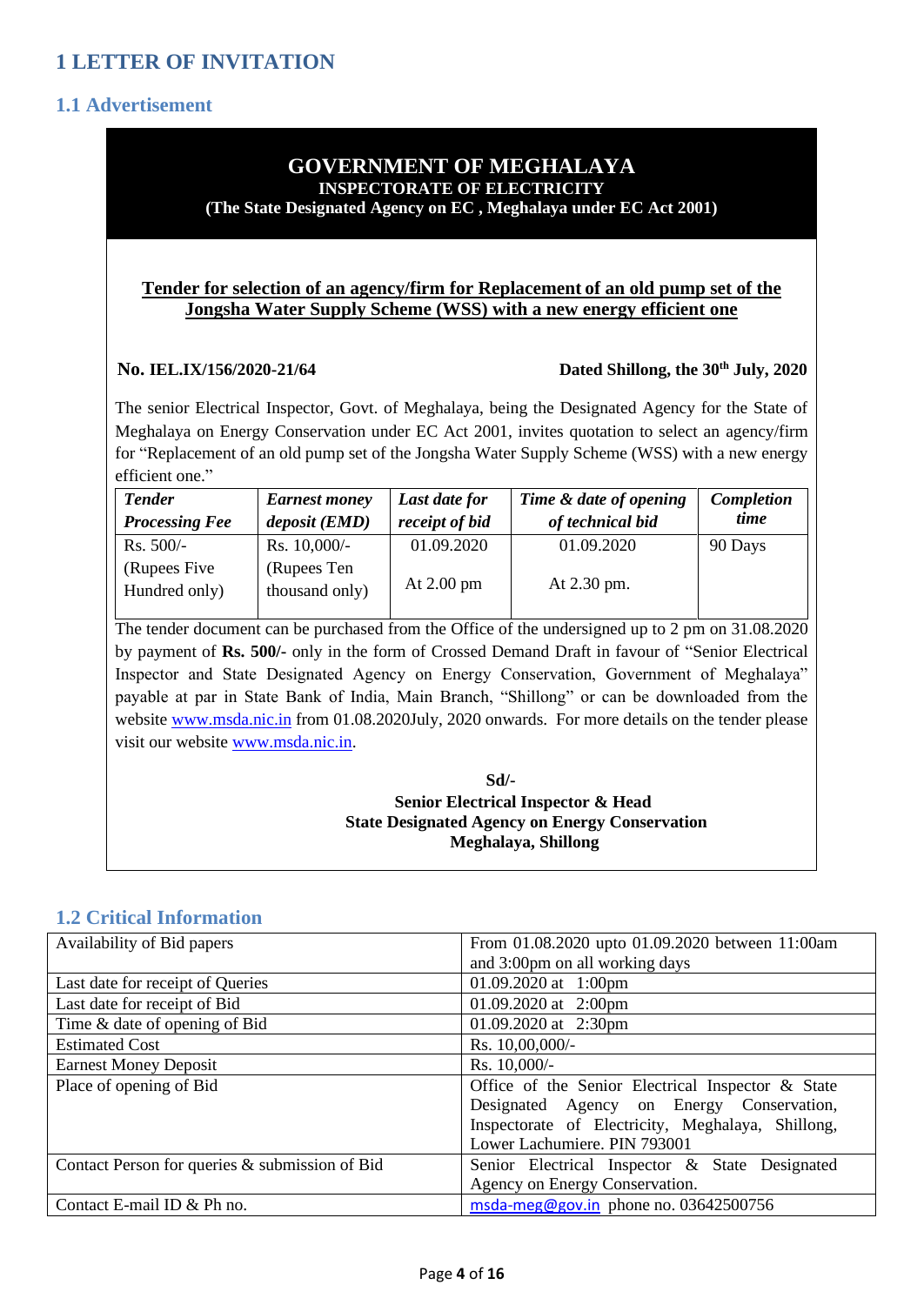# <span id="page-3-1"></span><span id="page-3-0"></span>**1.1 Advertisement**

#### **GOVERNMENT OF MEGHALAYA INSPECTORATE OF ELECTRICITY**

**(The State Designated Agency on EC , Meghalaya under EC Act 2001)**

#### **Tender for selection of an agency/firm for Replacement of an old pump set of the Jongsha Water Supply Scheme (WSS) with a new energy efficient one**

#### **No. IEL.IX/156/2020-21/64 Dated Shillong, the 30th July, 2020**

The senior Electrical Inspector, Govt. of Meghalaya, being the Designated Agency for the State of Meghalaya on Energy Conservation under EC Act 2001, invites quotation to select an agency/firm for "Replacement of an old pump set of the Jongsha Water Supply Scheme (WSS) with a new energy efficient one."

| <b>Tender</b><br><b>Processing Fee</b> | <b>Earnest money</b><br>deposit (EMD) | Last date for<br>receipt of bid | Time & date of opening<br>of technical bid | Completion<br>time |
|----------------------------------------|---------------------------------------|---------------------------------|--------------------------------------------|--------------------|
| $Rs. 500/-$                            | Rs. $10,000/-$                        | 01.09.2020                      | 01.09.2020                                 | 90 Days            |
| (Rupees Five)<br>Hundred only)         | (Rupees Ten<br>thousand only)         | At $2.00$ pm                    | At 2.30 pm.                                |                    |

The tender document can be purchased from the Office of the undersigned up to 2 pm on 31.08.2020 by payment of **Rs. 500/-** only in the form of Crossed Demand Draft in favour of "Senior Electrical Inspector and State Designated Agency on Energy Conservation, Government of Meghalaya" payable at par in State Bank of India, Main Branch, "Shillong" or can be downloaded from the website [www.msda.nic.in](http://www.msda.nic.in/) from 01.08.2020July, 2020 onwards. For more details on the tender please visit our website [www.msda.nic.in.](http://www.msda.nic.in/)

 **Sd/- Senior Electrical Inspector & Head State Designated Agency on Energy Conservation Meghalaya, Shillong**

### <span id="page-3-2"></span>**1.2 Critical Information**

| Availability of Bid papers                     | From 01.08.2020 upto 01.09.2020 between 11:00am   |
|------------------------------------------------|---------------------------------------------------|
|                                                | and 3:00pm on all working days                    |
| Last date for receipt of Queries               | 01.09.2020 at 1:00pm                              |
| Last date for receipt of Bid                   | 01.09.2020 at $2:00 \text{pm}$                    |
| Time & date of opening of Bid                  | 01.09.2020 at $2:30 \text{pm}$                    |
| <b>Estimated Cost</b>                          | Rs. 10,00,000/-                                   |
| <b>Earnest Money Deposit</b>                   | Rs. 10,000/-                                      |
| Place of opening of Bid                        | Office of the Senior Electrical Inspector & State |
|                                                | Designated Agency on Energy Conservation,         |
|                                                | Inspectorate of Electricity, Meghalaya, Shillong, |
|                                                | Lower Lachumiere. PIN 793001                      |
| Contact Person for queries & submission of Bid | Senior Electrical Inspector & State Designated    |
|                                                | Agency on Energy Conservation.                    |
| Contact E-mail ID & Ph no.                     | msda-meg@gov.in phone no. 03642500756             |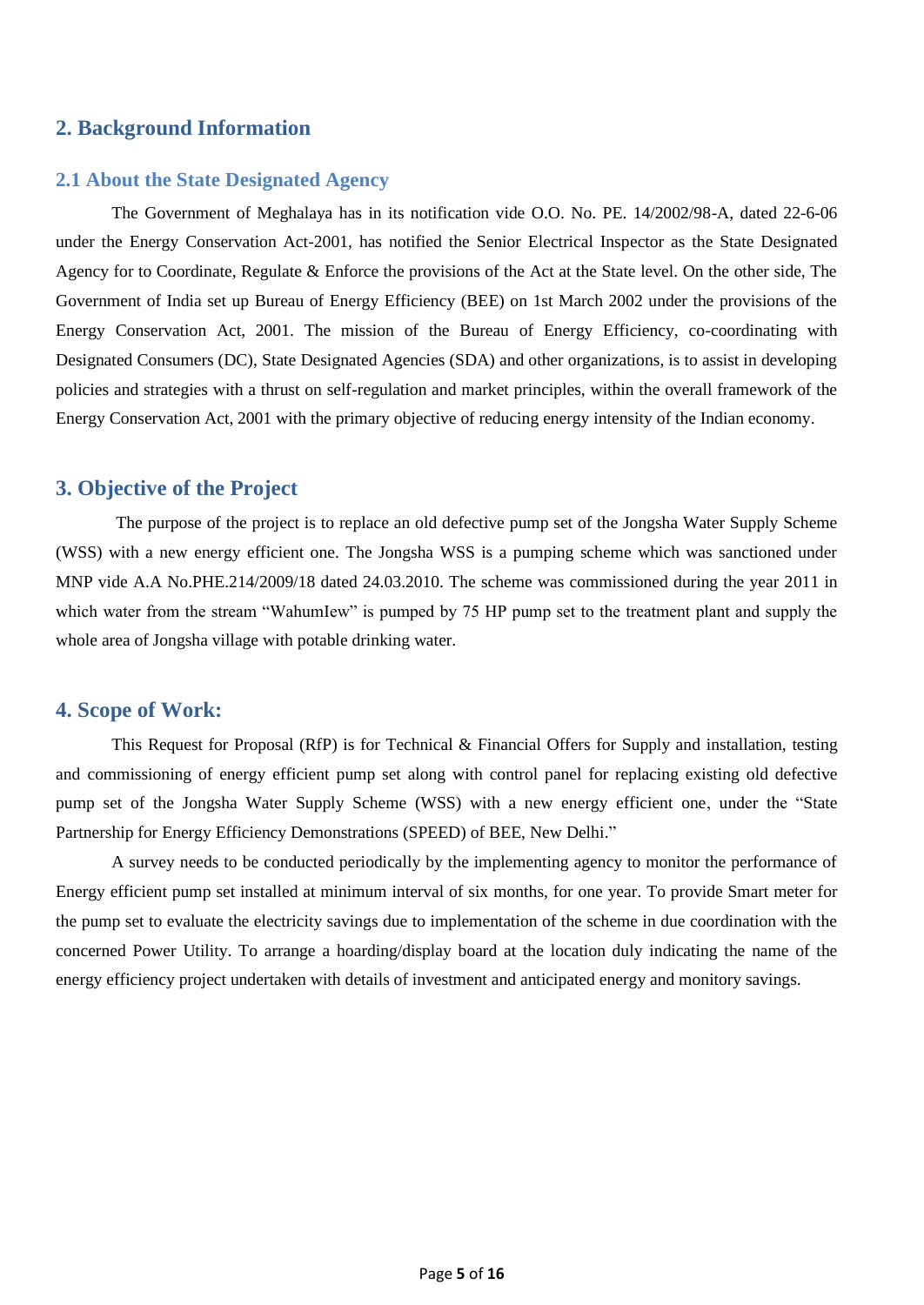### <span id="page-4-0"></span>**2. Background Information**

#### <span id="page-4-1"></span>**2.1 About the State Designated Agency**

The Government of Meghalaya has in its notification vide O.O. No. PE. 14/2002/98-A, dated 22-6-06 under the Energy Conservation Act-2001, has notified the Senior Electrical Inspector as the State Designated Agency for to Coordinate, Regulate & Enforce the provisions of the Act at the State level. On the other side, The Government of India set up Bureau of Energy Efficiency (BEE) on 1st March 2002 under the provisions of the Energy Conservation Act, 2001. The mission of the Bureau of Energy Efficiency, co-coordinating with Designated Consumers (DC), State Designated Agencies (SDA) and other organizations, is to assist in developing policies and strategies with a thrust on self-regulation and market principles, within the overall framework of the Energy Conservation Act, 2001 with the primary objective of reducing energy intensity of the Indian economy.

#### <span id="page-4-2"></span>**3. Objective of the Project**

The purpose of the project is to replace an old defective pump set of the Jongsha Water Supply Scheme (WSS) with a new energy efficient one. The Jongsha WSS is a pumping scheme which was sanctioned under MNP vide A.A No.PHE.214/2009/18 dated 24.03.2010. The scheme was commissioned during the year 2011 in which water from the stream "WahumIew" is pumped by 75 HP pump set to the treatment plant and supply the whole area of Jongsha village with potable drinking water.

#### <span id="page-4-3"></span>**4. Scope of Work:**

This Request for Proposal (RfP) is for Technical & Financial Offers for Supply and installation, testing and commissioning of energy efficient pump set along with control panel for replacing existing old defective pump set of the Jongsha Water Supply Scheme (WSS) with a new energy efficient one, under the "State Partnership for Energy Efficiency Demonstrations (SPEED) of BEE, New Delhi."

A survey needs to be conducted periodically by the implementing agency to monitor the performance of Energy efficient pump set installed at minimum interval of six months, for one year. To provide Smart meter for the pump set to evaluate the electricity savings due to implementation of the scheme in due coordination with the concerned Power Utility. To arrange a hoarding/display board at the location duly indicating the name of the energy efficiency project undertaken with details of investment and anticipated energy and monitory savings.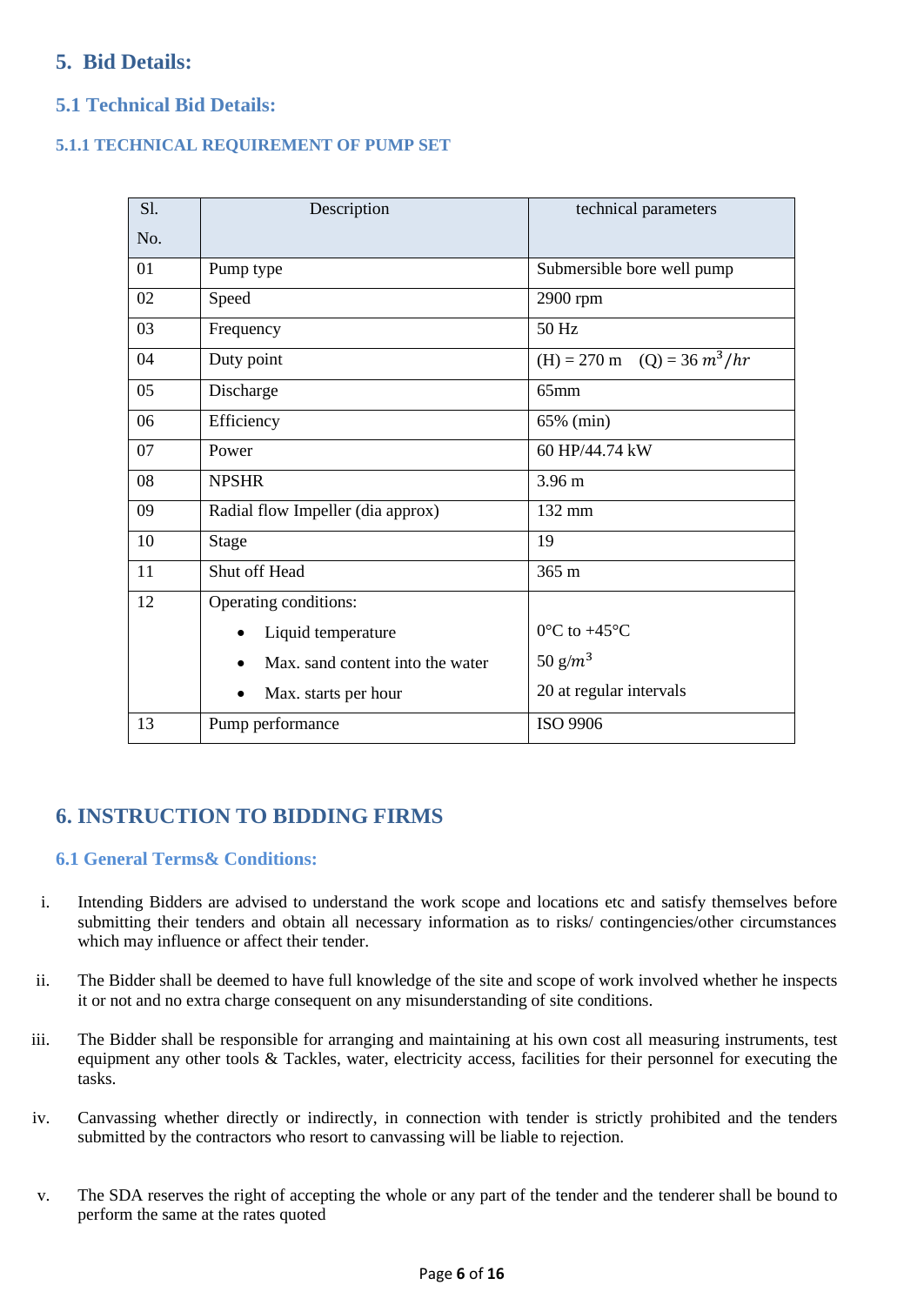# <span id="page-5-0"></span>**5. Bid Details:**

# <span id="page-5-1"></span>**5.1 Technical Bid Details:**

#### <span id="page-5-2"></span>**5.1.1 TECHNICAL REQUIREMENT OF PUMP SET**

| S1. | Description                       | technical parameters                            |  |  |
|-----|-----------------------------------|-------------------------------------------------|--|--|
| No. |                                   |                                                 |  |  |
| 01  | Pump type                         | Submersible bore well pump                      |  |  |
| 02  | Speed                             | 2900 rpm                                        |  |  |
| 03  | Frequency                         | 50 Hz                                           |  |  |
| 04  | Duty point                        | $(H) = 270 \text{ m}$ $(Q) = 36 \frac{m^3}{hr}$ |  |  |
| 05  | Discharge                         | $65$ mm                                         |  |  |
| 06  | Efficiency                        | 65% (min)                                       |  |  |
| 07  | Power                             | 60 HP/44.74 kW                                  |  |  |
| 08  | <b>NPSHR</b>                      | $3.96 \text{ m}$                                |  |  |
| 09  | Radial flow Impeller (dia approx) | 132 mm                                          |  |  |
| 10  | <b>Stage</b>                      | 19                                              |  |  |
| 11  | Shut off Head                     | 365 m                                           |  |  |
| 12  | Operating conditions:             |                                                 |  |  |
|     | Liquid temperature<br>$\bullet$   | $0^{\circ}$ C to +45 $^{\circ}$ C               |  |  |
|     | Max, sand content into the water  | 50 $g/m^3$                                      |  |  |
|     | Max. starts per hour              | 20 at regular intervals                         |  |  |
| 13  | Pump performance                  | ISO 9906                                        |  |  |

# <span id="page-5-3"></span>**6. INSTRUCTION TO BIDDING FIRMS**

### <span id="page-5-4"></span>**6.1 General Terms& Conditions:**

- i. Intending Bidders are advised to understand the work scope and locations etc and satisfy themselves before submitting their tenders and obtain all necessary information as to risks/ contingencies/other circumstances which may influence or affect their tender.
- ii. The Bidder shall be deemed to have full knowledge of the site and scope of work involved whether he inspects it or not and no extra charge consequent on any misunderstanding of site conditions.
- iii. The Bidder shall be responsible for arranging and maintaining at his own cost all measuring instruments, test equipment any other tools & Tackles, water, electricity access, facilities for their personnel for executing the tasks.
- iv. Canvassing whether directly or indirectly, in connection with tender is strictly prohibited and the tenders submitted by the contractors who resort to canvassing will be liable to rejection.
- v. The SDA reserves the right of accepting the whole or any part of the tender and the tenderer shall be bound to perform the same at the rates quoted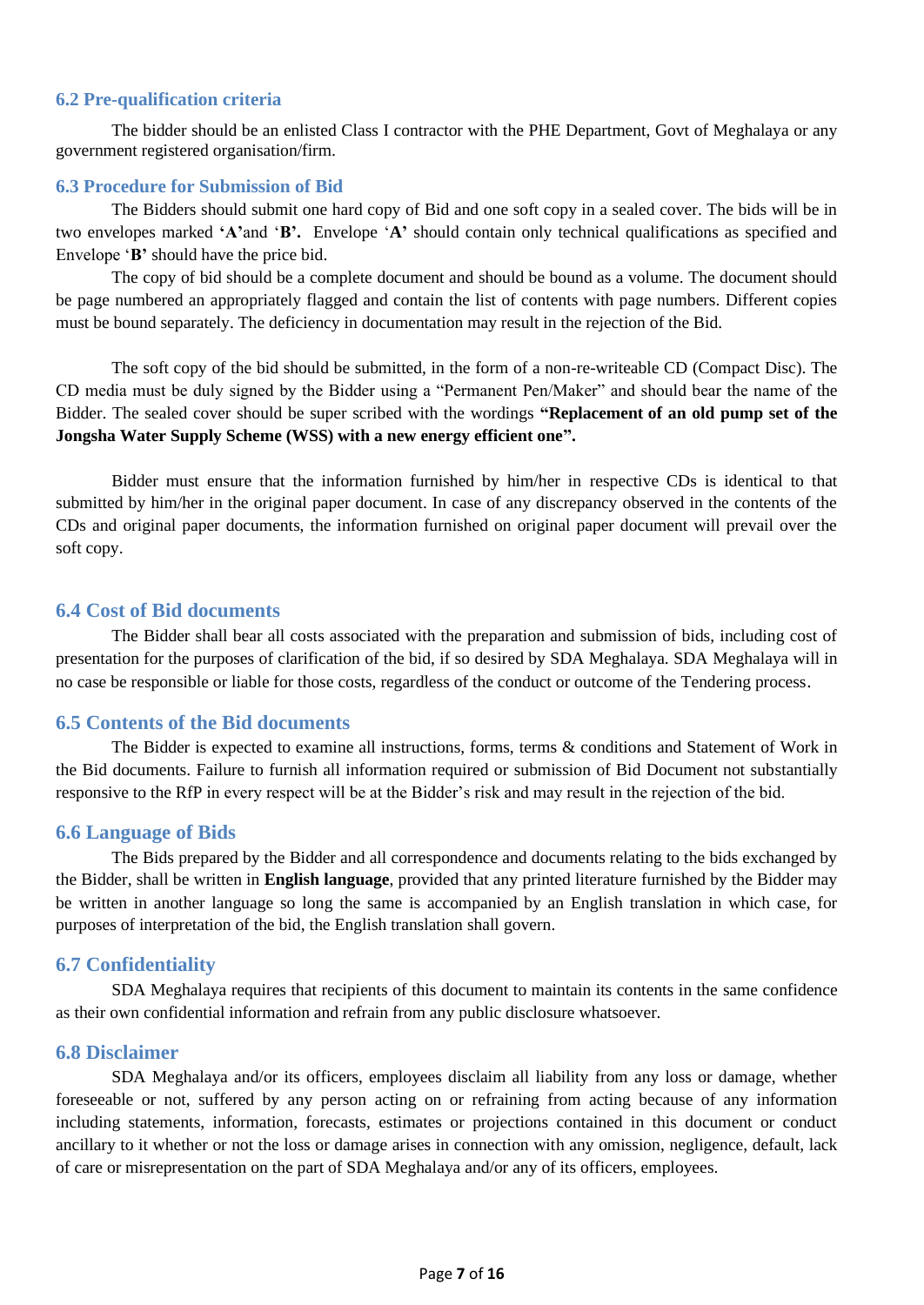#### <span id="page-6-0"></span>**6.2 Pre-qualification criteria**

The bidder should be an enlisted Class I contractor with the PHE Department, Govt of Meghalaya or any government registered organisation/firm.

#### <span id="page-6-1"></span>**6.3 Procedure for Submission of Bid**

The Bidders should submit one hard copy of Bid and one soft copy in a sealed cover. The bids will be in two envelopes marked **'A'**and '**B'.** Envelope '**A'** should contain only technical qualifications as specified and Envelope '**B'** should have the price bid.

The copy of bid should be a complete document and should be bound as a volume. The document should be page numbered an appropriately flagged and contain the list of contents with page numbers. Different copies must be bound separately. The deficiency in documentation may result in the rejection of the Bid.

The soft copy of the bid should be submitted, in the form of a non-re-writeable CD (Compact Disc). The CD media must be duly signed by the Bidder using a "Permanent Pen/Maker" and should bear the name of the Bidder. The sealed cover should be super scribed with the wordings **"Replacement of an old pump set of the Jongsha Water Supply Scheme (WSS) with a new energy efficient one".**

Bidder must ensure that the information furnished by him/her in respective CDs is identical to that submitted by him/her in the original paper document. In case of any discrepancy observed in the contents of the CDs and original paper documents, the information furnished on original paper document will prevail over the soft copy.

#### <span id="page-6-2"></span>**6.4 Cost of Bid documents**

The Bidder shall bear all costs associated with the preparation and submission of bids, including cost of presentation for the purposes of clarification of the bid, if so desired by SDA Meghalaya. SDA Meghalaya will in no case be responsible or liable for those costs, regardless of the conduct or outcome of the Tendering process.

#### <span id="page-6-3"></span>**6.5 Contents of the Bid documents**

The Bidder is expected to examine all instructions, forms, terms & conditions and Statement of Work in the Bid documents. Failure to furnish all information required or submission of Bid Document not substantially responsive to the RfP in every respect will be at the Bidder's risk and may result in the rejection of the bid.

#### <span id="page-6-4"></span>**6.6 Language of Bids**

The Bids prepared by the Bidder and all correspondence and documents relating to the bids exchanged by the Bidder, shall be written in **English language**, provided that any printed literature furnished by the Bidder may be written in another language so long the same is accompanied by an English translation in which case, for purposes of interpretation of the bid, the English translation shall govern.

#### <span id="page-6-5"></span>**6.7 Confidentiality**

SDA Meghalaya requires that recipients of this document to maintain its contents in the same confidence as their own confidential information and refrain from any public disclosure whatsoever.

#### <span id="page-6-6"></span>**6.8 Disclaimer**

SDA Meghalaya and/or its officers, employees disclaim all liability from any loss or damage, whether foreseeable or not, suffered by any person acting on or refraining from acting because of any information including statements, information, forecasts, estimates or projections contained in this document or conduct ancillary to it whether or not the loss or damage arises in connection with any omission, negligence, default, lack of care or misrepresentation on the part of SDA Meghalaya and/or any of its officers, employees.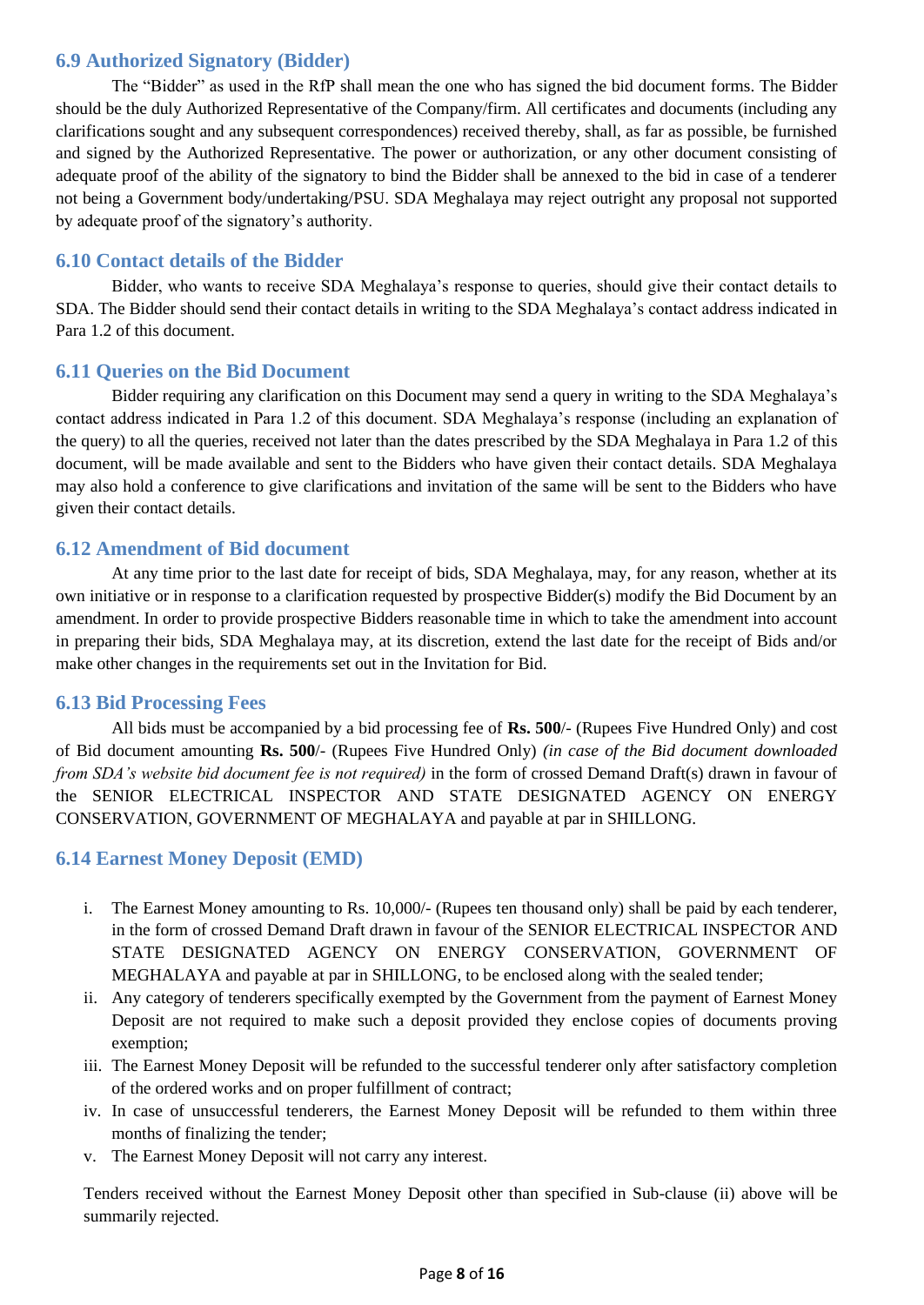## <span id="page-7-0"></span>**6.9 Authorized Signatory (Bidder)**

The "Bidder" as used in the RfP shall mean the one who has signed the bid document forms. The Bidder should be the duly Authorized Representative of the Company/firm. All certificates and documents (including any clarifications sought and any subsequent correspondences) received thereby, shall, as far as possible, be furnished and signed by the Authorized Representative. The power or authorization, or any other document consisting of adequate proof of the ability of the signatory to bind the Bidder shall be annexed to the bid in case of a tenderer not being a Government body/undertaking/PSU. SDA Meghalaya may reject outright any proposal not supported by adequate proof of the signatory's authority.

### <span id="page-7-1"></span>**6.10 Contact details of the Bidder**

Bidder, who wants to receive SDA Meghalaya's response to queries, should give their contact details to SDA. The Bidder should send their contact details in writing to the SDA Meghalaya's contact address indicated in Para 1.2 of this document.

#### <span id="page-7-2"></span>**6.11 Queries on the Bid Document**

Bidder requiring any clarification on this Document may send a query in writing to the SDA Meghalaya's contact address indicated in Para 1.2 of this document. SDA Meghalaya's response (including an explanation of the query) to all the queries, received not later than the dates prescribed by the SDA Meghalaya in Para 1.2 of this document, will be made available and sent to the Bidders who have given their contact details. SDA Meghalaya may also hold a conference to give clarifications and invitation of the same will be sent to the Bidders who have given their contact details.

#### <span id="page-7-3"></span>**6.12 Amendment of Bid document**

At any time prior to the last date for receipt of bids, SDA Meghalaya, may, for any reason, whether at its own initiative or in response to a clarification requested by prospective Bidder(s) modify the Bid Document by an amendment. In order to provide prospective Bidders reasonable time in which to take the amendment into account in preparing their bids, SDA Meghalaya may, at its discretion, extend the last date for the receipt of Bids and/or make other changes in the requirements set out in the Invitation for Bid.

#### <span id="page-7-4"></span>**6.13 Bid Processing Fees**

All bids must be accompanied by a bid processing fee of **Rs. 500**/- (Rupees Five Hundred Only) and cost of Bid document amounting **Rs. 500**/- (Rupees Five Hundred Only) *(in case of the Bid document downloaded from SDA's website bid document fee is not required*) in the form of crossed Demand Draft(s) drawn in favour of the SENIOR ELECTRICAL INSPECTOR AND STATE DESIGNATED AGENCY ON ENERGY CONSERVATION, GOVERNMENT OF MEGHALAYA and payable at par in SHILLONG.

### <span id="page-7-5"></span>**6.14 Earnest Money Deposit (EMD)**

- i. The Earnest Money amounting to Rs. 10,000/- (Rupees ten thousand only) shall be paid by each tenderer, in the form of crossed Demand Draft drawn in favour of the SENIOR ELECTRICAL INSPECTOR AND STATE DESIGNATED AGENCY ON ENERGY CONSERVATION, GOVERNMENT OF MEGHALAYA and payable at par in SHILLONG, to be enclosed along with the sealed tender;
- ii. Any category of tenderers specifically exempted by the Government from the payment of Earnest Money Deposit are not required to make such a deposit provided they enclose copies of documents proving exemption;
- iii. The Earnest Money Deposit will be refunded to the successful tenderer only after satisfactory completion of the ordered works and on proper fulfillment of contract;
- iv. In case of unsuccessful tenderers, the Earnest Money Deposit will be refunded to them within three months of finalizing the tender;
- v. The Earnest Money Deposit will not carry any interest.

Tenders received without the Earnest Money Deposit other than specified in Sub-clause (ii) above will be summarily rejected.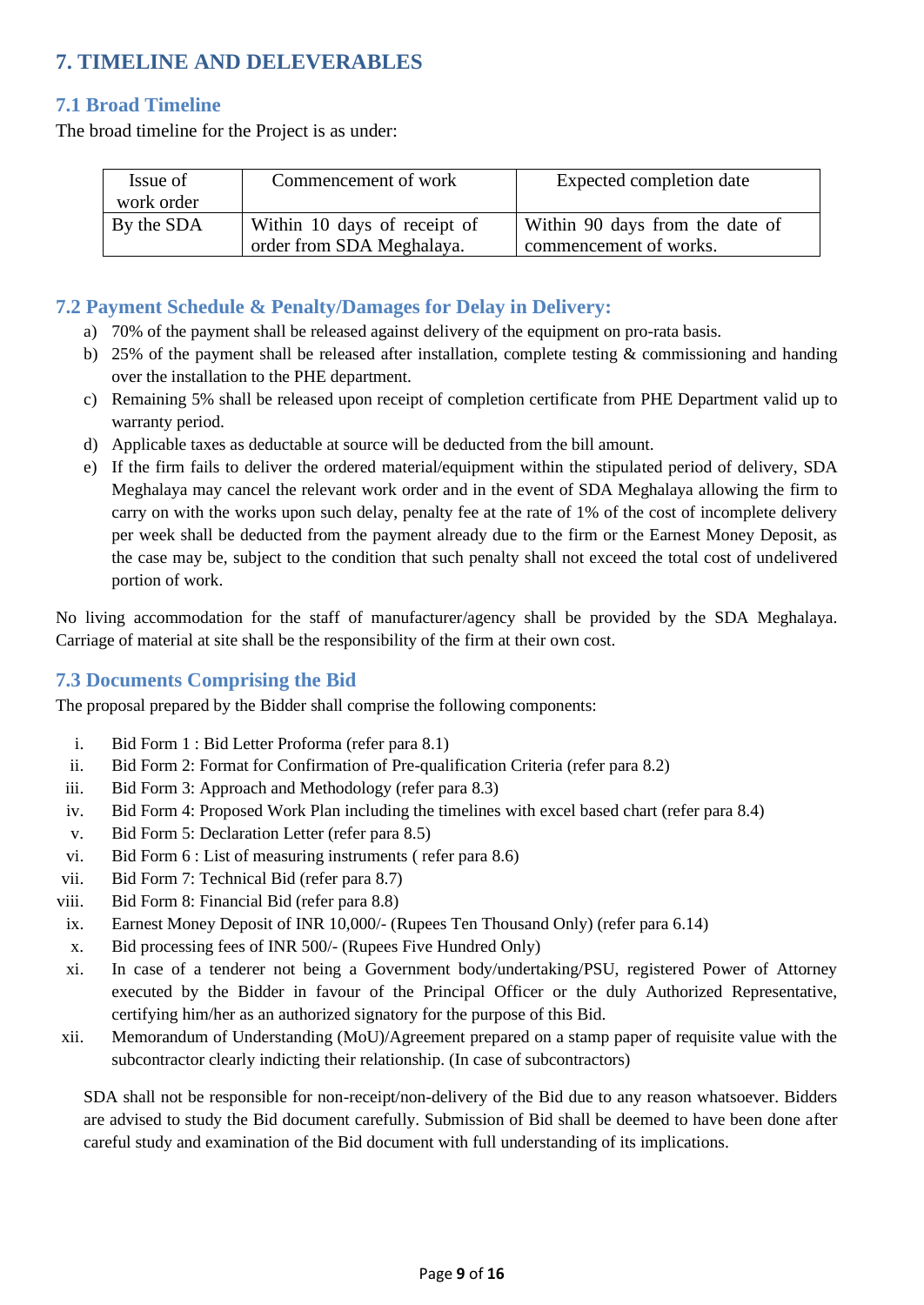# <span id="page-8-0"></span>**7. TIMELINE AND DELEVERABLES**

# <span id="page-8-1"></span>**7.1 Broad Timeline**

The broad timeline for the Project is as under:

| Issue of<br>work order | Commencement of work                                      | Expected completion date                                  |
|------------------------|-----------------------------------------------------------|-----------------------------------------------------------|
| By the SDA             | Within 10 days of receipt of<br>order from SDA Meghalaya. | Within 90 days from the date of<br>commencement of works. |

### <span id="page-8-2"></span>**7.2 Payment Schedule & Penalty/Damages for Delay in Delivery:**

- a) 70% of the payment shall be released against delivery of the equipment on pro-rata basis.
- b) 25% of the payment shall be released after installation, complete testing  $\&$  commissioning and handing over the installation to the PHE department.
- c) Remaining 5% shall be released upon receipt of completion certificate from PHE Department valid up to warranty period.
- d) Applicable taxes as deductable at source will be deducted from the bill amount.
- e) If the firm fails to deliver the ordered material/equipment within the stipulated period of delivery, SDA Meghalaya may cancel the relevant work order and in the event of SDA Meghalaya allowing the firm to carry on with the works upon such delay, penalty fee at the rate of 1% of the cost of incomplete delivery per week shall be deducted from the payment already due to the firm or the Earnest Money Deposit, as the case may be, subject to the condition that such penalty shall not exceed the total cost of undelivered portion of work.

No living accommodation for the staff of manufacturer/agency shall be provided by the SDA Meghalaya. Carriage of material at site shall be the responsibility of the firm at their own cost.

### <span id="page-8-3"></span>**7.3 Documents Comprising the Bid**

The proposal prepared by the Bidder shall comprise the following components:

- i. Bid Form 1 : Bid Letter Proforma (refer para 8.1)
- ii. Bid Form 2: Format for Confirmation of Pre-qualification Criteria (refer para 8.2)
- iii. Bid Form 3: Approach and Methodology (refer para 8.3)
- iv. Bid Form 4: Proposed Work Plan including the timelines with excel based chart (refer para 8.4)
- v. Bid Form 5: Declaration Letter (refer para 8.5)
- vi. Bid Form 6 : List of measuring instruments ( refer para 8.6)
- vii. Bid Form 7: Technical Bid (refer para 8.7)
- viii. Bid Form 8: Financial Bid (refer para 8.8)
- ix. Earnest Money Deposit of INR 10,000/- (Rupees Ten Thousand Only) (refer para 6.14)
- x. Bid processing fees of INR 500/- (Rupees Five Hundred Only)
- xi. In case of a tenderer not being a Government body/undertaking/PSU, registered Power of Attorney executed by the Bidder in favour of the Principal Officer or the duly Authorized Representative, certifying him/her as an authorized signatory for the purpose of this Bid.
- xii. Memorandum of Understanding (MoU)/Agreement prepared on a stamp paper of requisite value with the subcontractor clearly indicting their relationship. (In case of subcontractors)

SDA shall not be responsible for non-receipt/non-delivery of the Bid due to any reason whatsoever. Bidders are advised to study the Bid document carefully. Submission of Bid shall be deemed to have been done after careful study and examination of the Bid document with full understanding of its implications.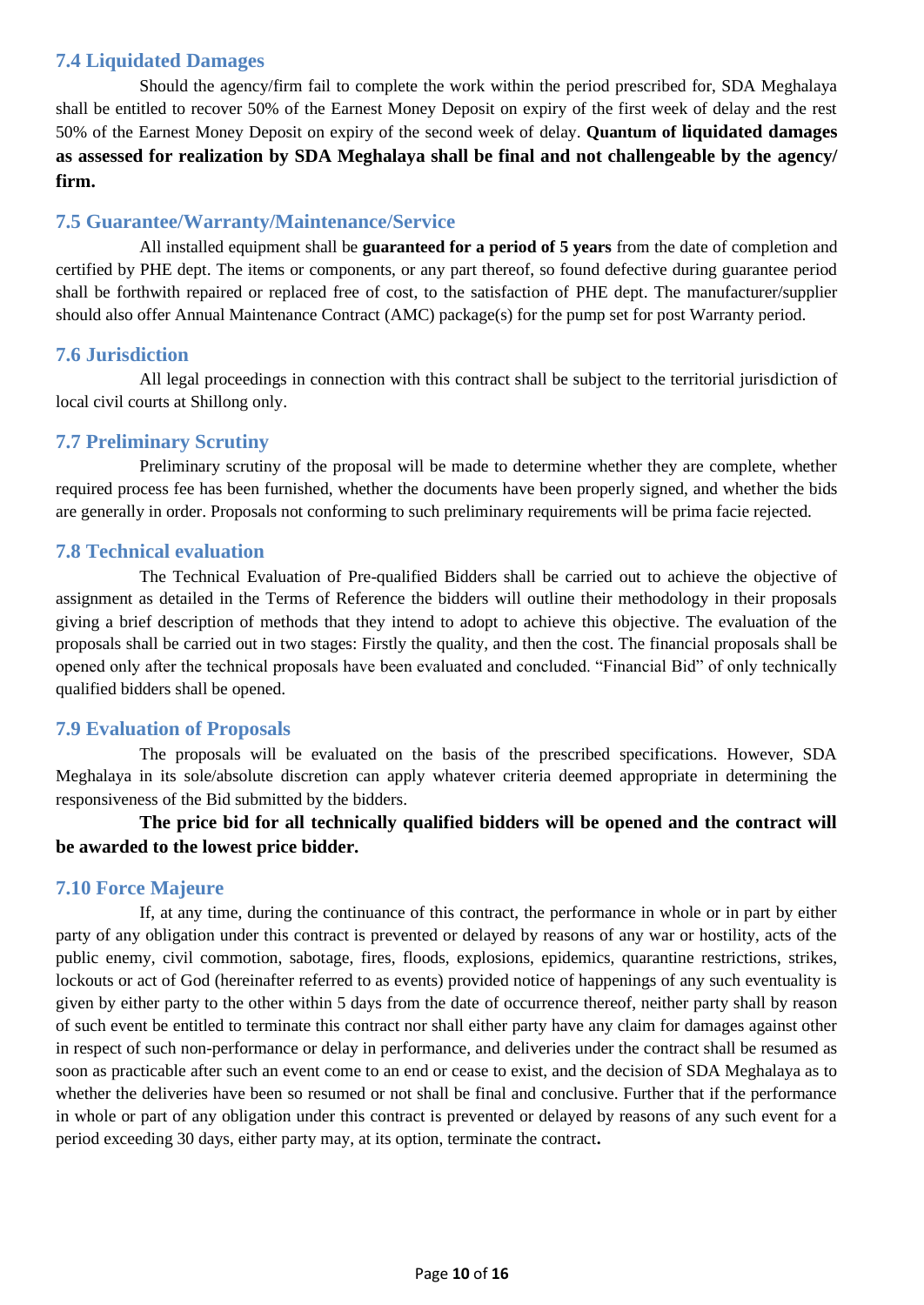# <span id="page-9-0"></span>**7.4 Liquidated Damages**

Should the agency/firm fail to complete the work within the period prescribed for, SDA Meghalaya shall be entitled to recover 50% of the Earnest Money Deposit on expiry of the first week of delay and the rest 50% of the Earnest Money Deposit on expiry of the second week of delay. **Quantum of liquidated damages as assessed for realization by SDA Meghalaya shall be final and not challengeable by the agency/ firm.**

## <span id="page-9-1"></span>**7.5 Guarantee/Warranty/Maintenance/Service**

All installed equipment shall be **guaranteed for a period of 5 years** from the date of completion and certified by PHE dept. The items or components, or any part thereof, so found defective during guarantee period shall be forthwith repaired or replaced free of cost, to the satisfaction of PHE dept. The manufacturer/supplier should also offer Annual Maintenance Contract (AMC) package(s) for the pump set for post Warranty period.

### <span id="page-9-2"></span>**7.6 Jurisdiction**

All legal proceedings in connection with this contract shall be subject to the territorial jurisdiction of local civil courts at Shillong only.

### <span id="page-9-3"></span>**7.7 Preliminary Scrutiny**

Preliminary scrutiny of the proposal will be made to determine whether they are complete, whether required process fee has been furnished, whether the documents have been properly signed, and whether the bids are generally in order. Proposals not conforming to such preliminary requirements will be prima facie rejected.

#### <span id="page-9-4"></span>**7.8 Technical evaluation**

The Technical Evaluation of Pre-qualified Bidders shall be carried out to achieve the objective of assignment as detailed in the Terms of Reference the bidders will outline their methodology in their proposals giving a brief description of methods that they intend to adopt to achieve this objective. The evaluation of the proposals shall be carried out in two stages: Firstly the quality, and then the cost. The financial proposals shall be opened only after the technical proposals have been evaluated and concluded. "Financial Bid" of only technically qualified bidders shall be opened.

### <span id="page-9-5"></span>**7.9 Evaluation of Proposals**

The proposals will be evaluated on the basis of the prescribed specifications. However, SDA Meghalaya in its sole/absolute discretion can apply whatever criteria deemed appropriate in determining the responsiveness of the Bid submitted by the bidders.

**The price bid for all technically qualified bidders will be opened and the contract will be awarded to the lowest price bidder.**

### <span id="page-9-6"></span>**7.10 Force Majeure**

If, at any time, during the continuance of this contract, the performance in whole or in part by either party of any obligation under this contract is prevented or delayed by reasons of any war or hostility, acts of the public enemy, civil commotion, sabotage, fires, floods, explosions, epidemics, quarantine restrictions, strikes, lockouts or act of God (hereinafter referred to as events) provided notice of happenings of any such eventuality is given by either party to the other within 5 days from the date of occurrence thereof, neither party shall by reason of such event be entitled to terminate this contract nor shall either party have any claim for damages against other in respect of such non-performance or delay in performance, and deliveries under the contract shall be resumed as soon as practicable after such an event come to an end or cease to exist, and the decision of SDA Meghalaya as to whether the deliveries have been so resumed or not shall be final and conclusive. Further that if the performance in whole or part of any obligation under this contract is prevented or delayed by reasons of any such event for a period exceeding 30 days, either party may, at its option, terminate the contract**.**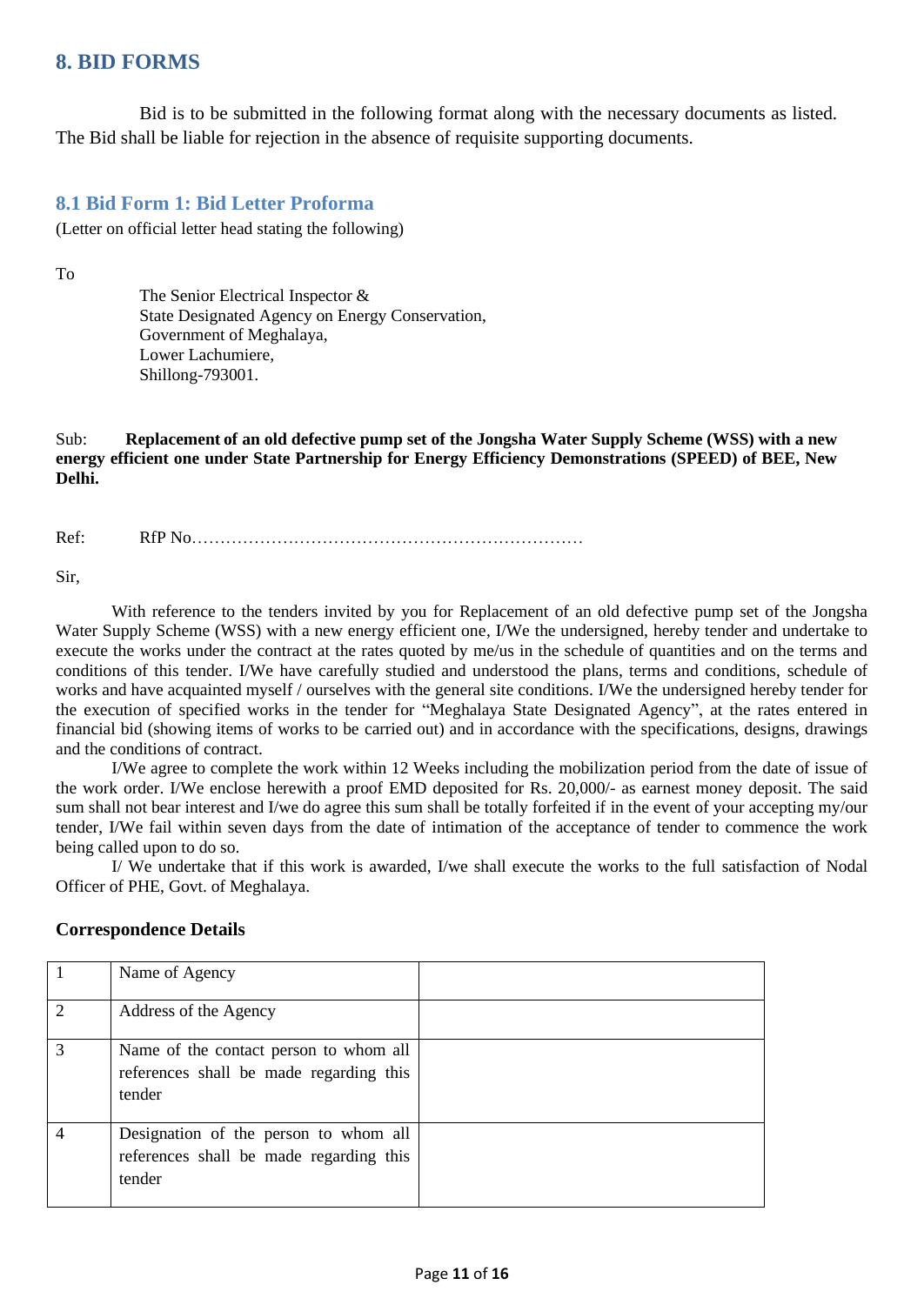# <span id="page-10-0"></span>**8. BID FORMS**

Bid is to be submitted in the following format along with the necessary documents as listed. The Bid shall be liable for rejection in the absence of requisite supporting documents.

#### <span id="page-10-1"></span>**8.1 Bid Form 1: Bid Letter Proforma**

(Letter on official letter head stating the following)

To

The Senior Electrical Inspector & State Designated Agency on Energy Conservation, Government of Meghalaya, Lower Lachumiere, Shillong-793001.

Sub: **Replacement of an old defective pump set of the Jongsha Water Supply Scheme (WSS) with a new energy efficient one under State Partnership for Energy Efficiency Demonstrations (SPEED) of BEE, New Delhi.**

Ref: RfP No……………………………………………………………

Sir,

With reference to the tenders invited by you for Replacement of an old defective pump set of the Jongsha Water Supply Scheme (WSS) with a new energy efficient one, I/We the undersigned, hereby tender and undertake to execute the works under the contract at the rates quoted by me/us in the schedule of quantities and on the terms and conditions of this tender. I/We have carefully studied and understood the plans, terms and conditions, schedule of works and have acquainted myself / ourselves with the general site conditions. I/We the undersigned hereby tender for the execution of specified works in the tender for "Meghalaya State Designated Agency", at the rates entered in financial bid (showing items of works to be carried out) and in accordance with the specifications, designs, drawings and the conditions of contract.

I/We agree to complete the work within 12 Weeks including the mobilization period from the date of issue of the work order. I/We enclose herewith a proof EMD deposited for Rs. 20,000/- as earnest money deposit. The said sum shall not bear interest and I/we do agree this sum shall be totally forfeited if in the event of your accepting my/our tender, I/We fail within seven days from the date of intimation of the acceptance of tender to commence the work being called upon to do so.

I/ We undertake that if this work is awarded, I/we shall execute the works to the full satisfaction of Nodal Officer of PHE, Govt. of Meghalaya.

|                | Name of Agency                                                                              |  |
|----------------|---------------------------------------------------------------------------------------------|--|
| $\overline{2}$ | Address of the Agency                                                                       |  |
| 3              | Name of the contact person to whom all<br>references shall be made regarding this<br>tender |  |
|                | Designation of the person to whom all<br>references shall be made regarding this<br>tender  |  |

#### **Correspondence Details**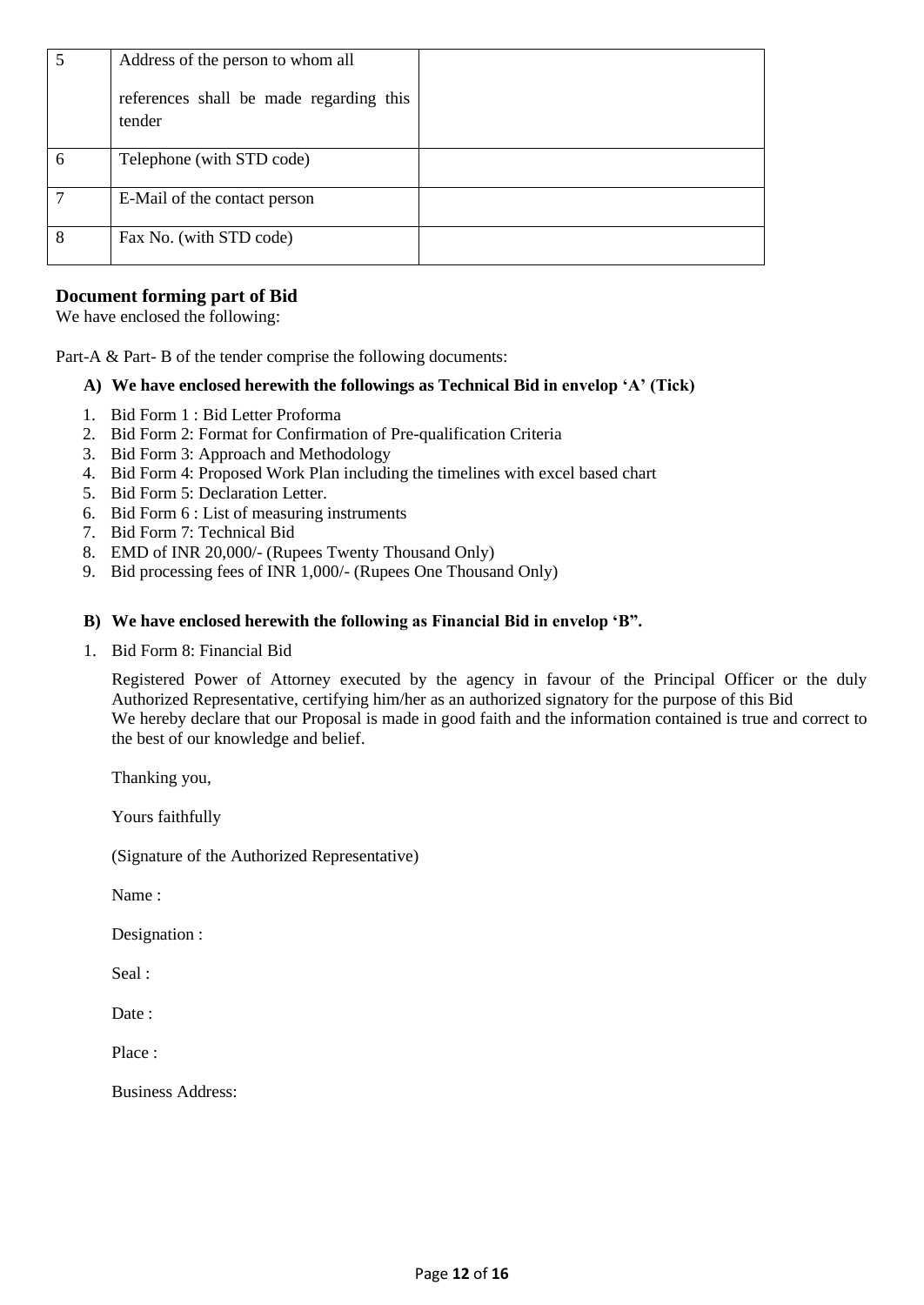|   | Address of the person to whom all<br>references shall be made regarding this<br>tender |  |
|---|----------------------------------------------------------------------------------------|--|
| 6 | Telephone (with STD code)                                                              |  |
| ⇁ | E-Mail of the contact person                                                           |  |
| 8 | Fax No. (with STD code)                                                                |  |

#### **Document forming part of Bid**

We have enclosed the following:

Part-A & Part-B of the tender comprise the following documents:

#### **A) We have enclosed herewith the followings as Technical Bid in envelop 'A' (Tick)**

- 1. Bid Form 1 : Bid Letter Proforma
- 2. Bid Form 2: Format for Confirmation of Pre-qualification Criteria
- 3. Bid Form 3: Approach and Methodology
- 4. Bid Form 4: Proposed Work Plan including the timelines with excel based chart
- 5. Bid Form 5: Declaration Letter.
- 6. Bid Form 6 : List of measuring instruments
- 7. Bid Form 7: Technical Bid
- 8. EMD of INR 20,000/- (Rupees Twenty Thousand Only)
- 9. Bid processing fees of INR 1,000/- (Rupees One Thousand Only)

#### **B) We have enclosed herewith the following as Financial Bid in envelop 'B".**

1. Bid Form 8: Financial Bid

Registered Power of Attorney executed by the agency in favour of the Principal Officer or the duly Authorized Representative, certifying him/her as an authorized signatory for the purpose of this Bid We hereby declare that our Proposal is made in good faith and the information contained is true and correct to the best of our knowledge and belief.

Thanking you,

Yours faithfully

(Signature of the Authorized Representative)

Name :

Designation :

Seal :

Date :

Place :

Business Address: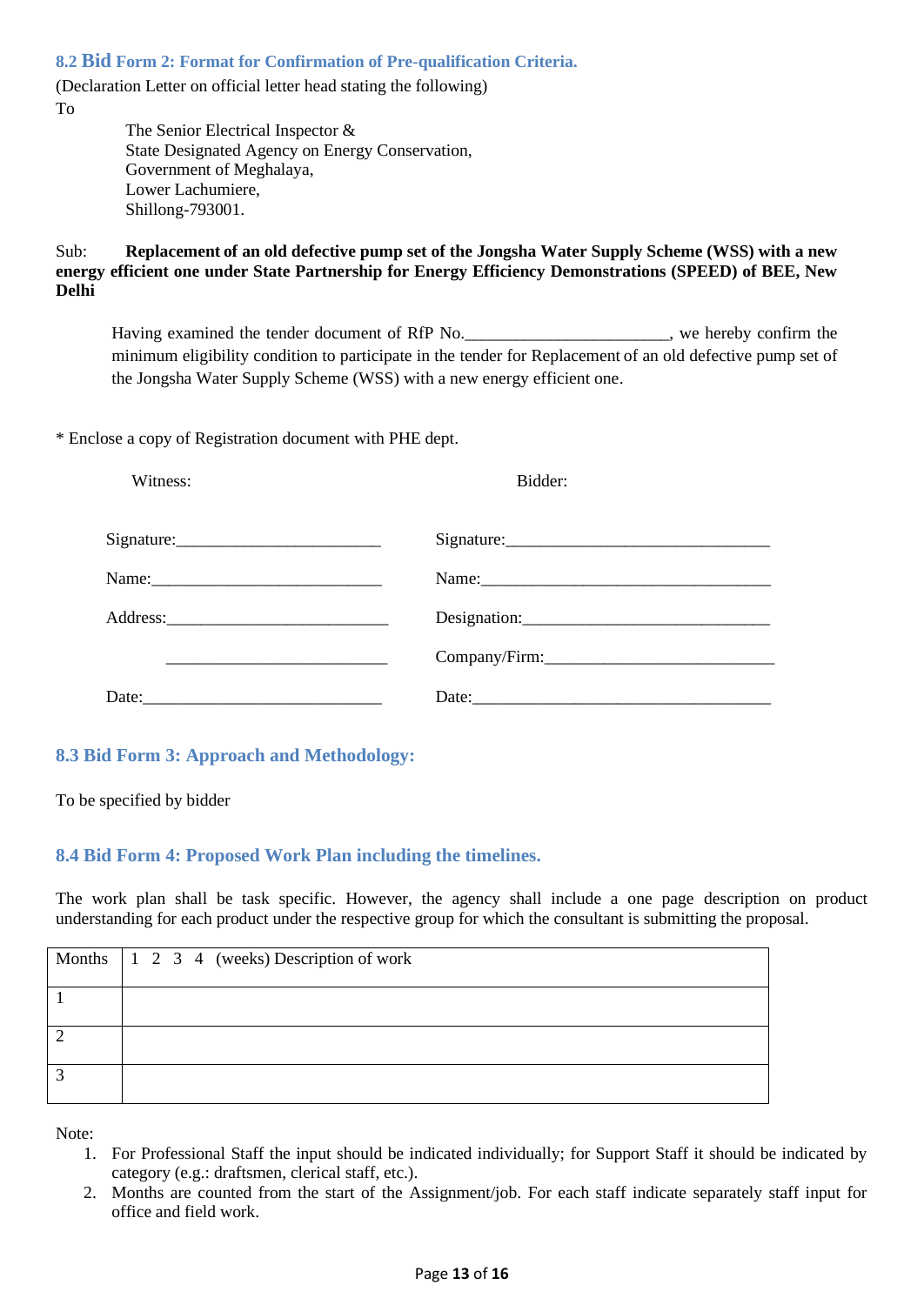<span id="page-12-0"></span>**8.2 Bid Form 2: Format for Confirmation of Pre-qualification Criteria.**

(Declaration Letter on official letter head stating the following) To

> The Senior Electrical Inspector & State Designated Agency on Energy Conservation, Government of Meghalaya, Lower Lachumiere, Shillong-793001.

Sub: **Replacement of an old defective pump set of the Jongsha Water Supply Scheme (WSS) with a new energy efficient one under State Partnership for Energy Efficiency Demonstrations (SPEED) of BEE, New Delhi**

Having examined the tender document of RfP No.  $\blacksquare$ , we hereby confirm the minimum eligibility condition to participate in the tender for Replacement of an old defective pump set of the Jongsha Water Supply Scheme (WSS) with a new energy efficient one.

\* Enclose a copy of Registration document with PHE dept.

| Witness:                       | Bidder:       |
|--------------------------------|---------------|
| Signature:                     | Signature:    |
| Name:                          | Name:         |
|                                |               |
|                                | Company/Firm: |
| Date: $\overline{\phantom{a}}$ |               |

### <span id="page-12-1"></span>**8.3 Bid Form 3: Approach and Methodology:**

To be specified by bidder

#### <span id="page-12-2"></span>**8.4 Bid Form 4: Proposed Work Plan including the timelines.**

The work plan shall be task specific. However, the agency shall include a one page description on product understanding for each product under the respective group for which the consultant is submitting the proposal.

| Months $\begin{vmatrix} 1 & 2 & 3 & 4 \end{vmatrix}$ (weeks) Description of work |
|----------------------------------------------------------------------------------|
|                                                                                  |
|                                                                                  |
|                                                                                  |

Note:

- 1. For Professional Staff the input should be indicated individually; for Support Staff it should be indicated by category (e.g.: draftsmen, clerical staff, etc.).
- 2. Months are counted from the start of the Assignment/job. For each staff indicate separately staff input for office and field work.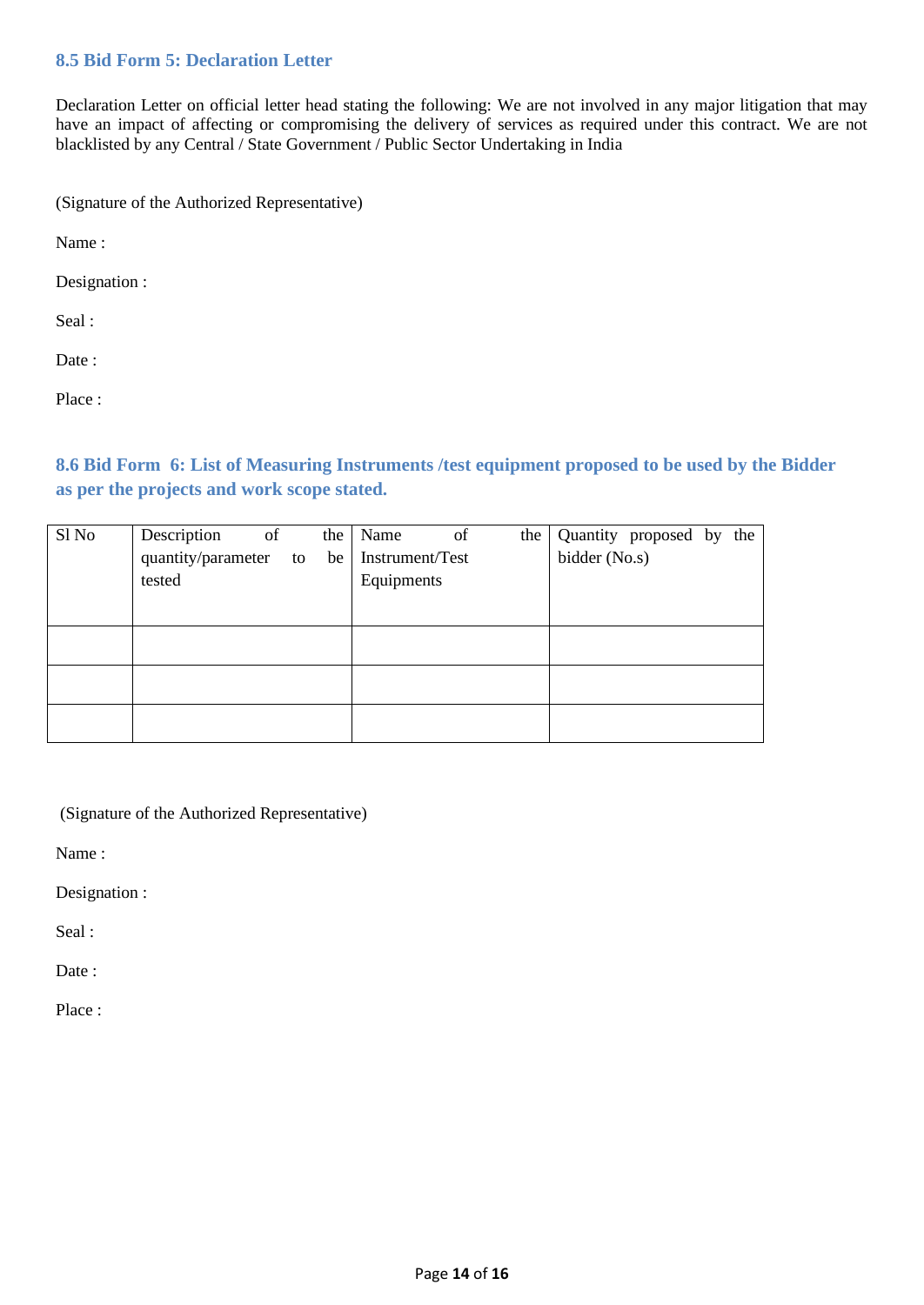### <span id="page-13-0"></span>**8.5 Bid Form 5: Declaration Letter**

Declaration Letter on official letter head stating the following: We are not involved in any major litigation that may have an impact of affecting or compromising the delivery of services as required under this contract. We are not blacklisted by any Central / State Government / Public Sector Undertaking in India

(Signature of the Authorized Representative)

Name :

Designation :

Seal :

Date :

Place :

<span id="page-13-1"></span>**8.6 Bid Form 6: List of Measuring Instruments /test equipment proposed to be used by the Bidder as per the projects and work scope stated.**

| Sl No | Description<br>of     | the | Name            | of | the |               | Quantity proposed by the |  |
|-------|-----------------------|-----|-----------------|----|-----|---------------|--------------------------|--|
|       | quantity/parameter to | be  | Instrument/Test |    |     | bidder (No.s) |                          |  |
|       | tested                |     | Equipments      |    |     |               |                          |  |
|       |                       |     |                 |    |     |               |                          |  |
|       |                       |     |                 |    |     |               |                          |  |
|       |                       |     |                 |    |     |               |                          |  |
|       |                       |     |                 |    |     |               |                          |  |
|       |                       |     |                 |    |     |               |                          |  |
|       |                       |     |                 |    |     |               |                          |  |
|       |                       |     |                 |    |     |               |                          |  |

(Signature of the Authorized Representative)

Name :

Designation :

Seal :

Date:

Place :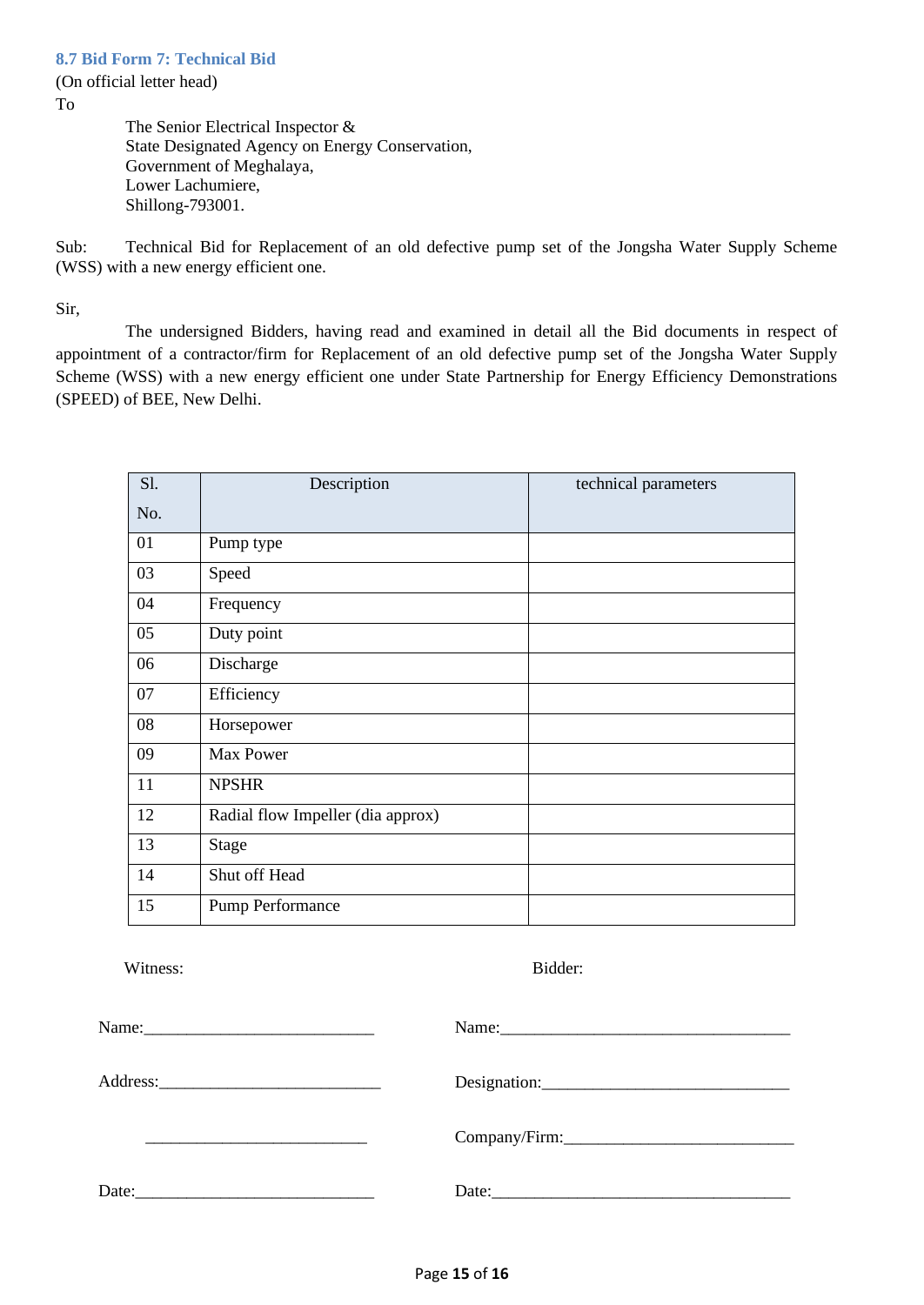<span id="page-14-0"></span>(On official letter head)

To

The Senior Electrical Inspector & State Designated Agency on Energy Conservation, Government of Meghalaya, Lower Lachumiere, Shillong-793001.

Sub: Technical Bid for Replacement of an old defective pump set of the Jongsha Water Supply Scheme (WSS) with a new energy efficient one.

Sir,

The undersigned Bidders, having read and examined in detail all the Bid documents in respect of appointment of a contractor/firm for Replacement of an old defective pump set of the Jongsha Water Supply Scheme (WSS) with a new energy efficient one under State Partnership for Energy Efficiency Demonstrations (SPEED) of BEE, New Delhi.

| S1. | Description                       | technical parameters |
|-----|-----------------------------------|----------------------|
| No. |                                   |                      |
| 01  | Pump type                         |                      |
| 03  | Speed                             |                      |
| 04  | Frequency                         |                      |
| 05  | Duty point                        |                      |
| 06  | Discharge                         |                      |
| 07  | Efficiency                        |                      |
| 08  | Horsepower                        |                      |
| 09  | Max Power                         |                      |
| 11  | <b>NPSHR</b>                      |                      |
| 12  | Radial flow Impeller (dia approx) |                      |
| 13  | Stage                             |                      |
| 14  | Shut off Head                     |                      |
| 15  | Pump Performance                  |                      |

Witness: Bidder:

|       | Company/Firm: Company/Firm: |
|-------|-----------------------------|
| Date: | Date:                       |